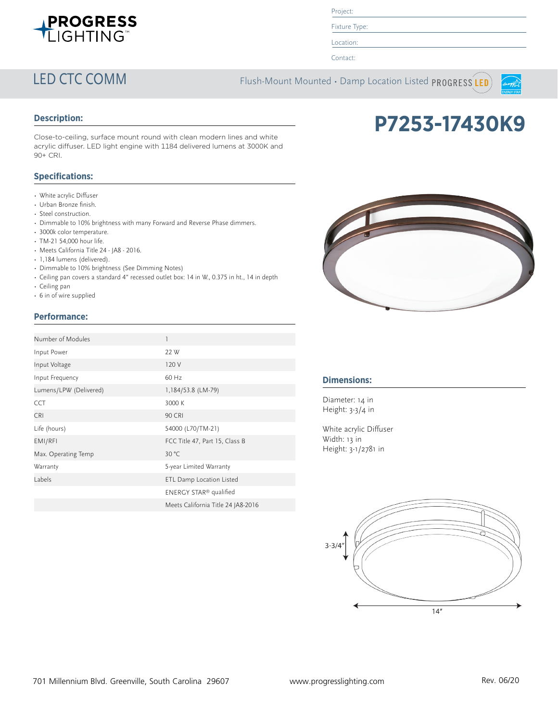

Project:

Fixture Type:

Location:

Contact:

LED CTC COMM Flush-Mount Mounted · Damp Location Listed PROGRESS LED



# **Description:**

Close-to-ceiling, surface mount round with clean modern lines and white acrylic diffuser. LED light engine with 1184 delivered lumens at 3000K and 90+ CRI.

## **Specifications:**

- White acrylic Diffuser
- Urban Bronze finish.
- Steel construction.
- Dimmable to 10% brightness with many Forward and Reverse Phase dimmers.
- 3000k color temperature.
- TM-21 54,000 hour life.
- Meets California Title 24 JA8 2016.
- 1,184 lumens (delivered).
- Dimmable to 10% brightness (See Dimming Notes)
- Ceiling pan covers a standard 4" recessed outlet box: 14 in W., 0.375 in ht., 14 in depth
- Ceiling pan
- 6 in of wire supplied

# **Performance:**

| Number of Modules      |                                    |
|------------------------|------------------------------------|
| Input Power            | 22 W                               |
| Input Voltage          | 120 V                              |
| Input Frequency        | 60 Hz                              |
| Lumens/LPW (Delivered) | 1,184/53.8 (LM-79)                 |
| <b>CCT</b>             | 3000 K                             |
| <b>CRI</b>             | <b>90 CRI</b>                      |
| Life (hours)           | 54000 (L70/TM-21)                  |
| EMI/RFI                | FCC Title 47, Part 15, Class B     |
| Max. Operating Temp    | 30 °C                              |
| Warranty               | 5-year Limited Warranty            |
| Labels                 | ETL Damp Location Listed           |
|                        | ENERGY STAR <sup>®</sup> qualified |
|                        | Meets California Title 24 JA8-2016 |



**P7253-17430K9**

## **Dimensions:**

Diameter: 14 in Height: 3-3/4 in

White acrylic Diffuser Width: 13 in Height: 3-1/2781 in